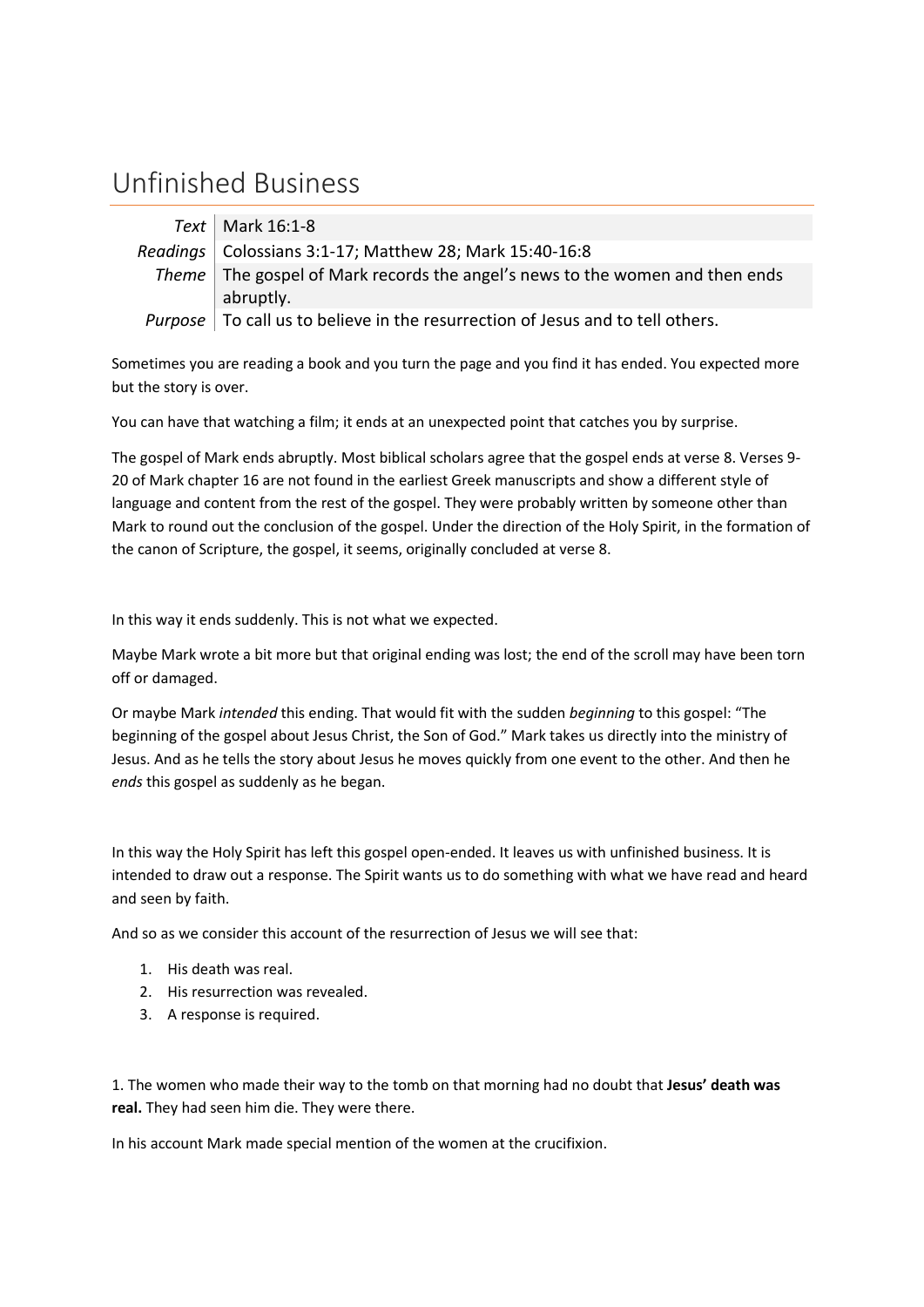## Unfinished Business

| $Text$ Mark 16:1-8                                                                            |
|-----------------------------------------------------------------------------------------------|
| Readings   Colossians 3:1-17; Matthew 28; Mark 15:40-16:8                                     |
| Theme   The gospel of Mark records the angel's news to the women and then ends                |
| abruptly.                                                                                     |
| <i>Purpose</i> $\vert$ To call us to believe in the resurrection of Jesus and to tell others. |

Sometimes you are reading a book and you turn the page and you find it has ended. You expected more but the story is over.

You can have that watching a film; it ends at an unexpected point that catches you by surprise.

The gospel of Mark ends abruptly. Most biblical scholars agree that the gospel ends at verse 8. Verses 9- 20 of Mark chapter 16 are not found in the earliest Greek manuscripts and show a different style of language and content from the rest of the gospel. They were probably written by someone other than Mark to round out the conclusion of the gospel. Under the direction of the Holy Spirit, in the formation of the canon of Scripture, the gospel, it seems, originally concluded at verse 8.

In this way it ends suddenly. This is not what we expected.

Maybe Mark wrote a bit more but that original ending was lost; the end of the scroll may have been torn off or damaged.

Or maybe Mark *intended* this ending. That would fit with the sudden *beginning* to this gospel: "The beginning of the gospel about Jesus Christ, the Son of God." Mark takes us directly into the ministry of Jesus. And as he tells the story about Jesus he moves quickly from one event to the other. And then he *ends* this gospel as suddenly as he began.

In this way the Holy Spirit has left this gospel open-ended. It leaves us with unfinished business. It is intended to draw out a response. The Spirit wants us to do something with what we have read and heard and seen by faith.

And so as we consider this account of the resurrection of Jesus we will see that:

- 1. His death was real.
- 2. His resurrection was revealed.
- 3. A response is required.

1. The women who made their way to the tomb on that morning had no doubt that **Jesus' death was real.** They had seen him die. They were there.

In his account Mark made special mention of the women at the crucifixion.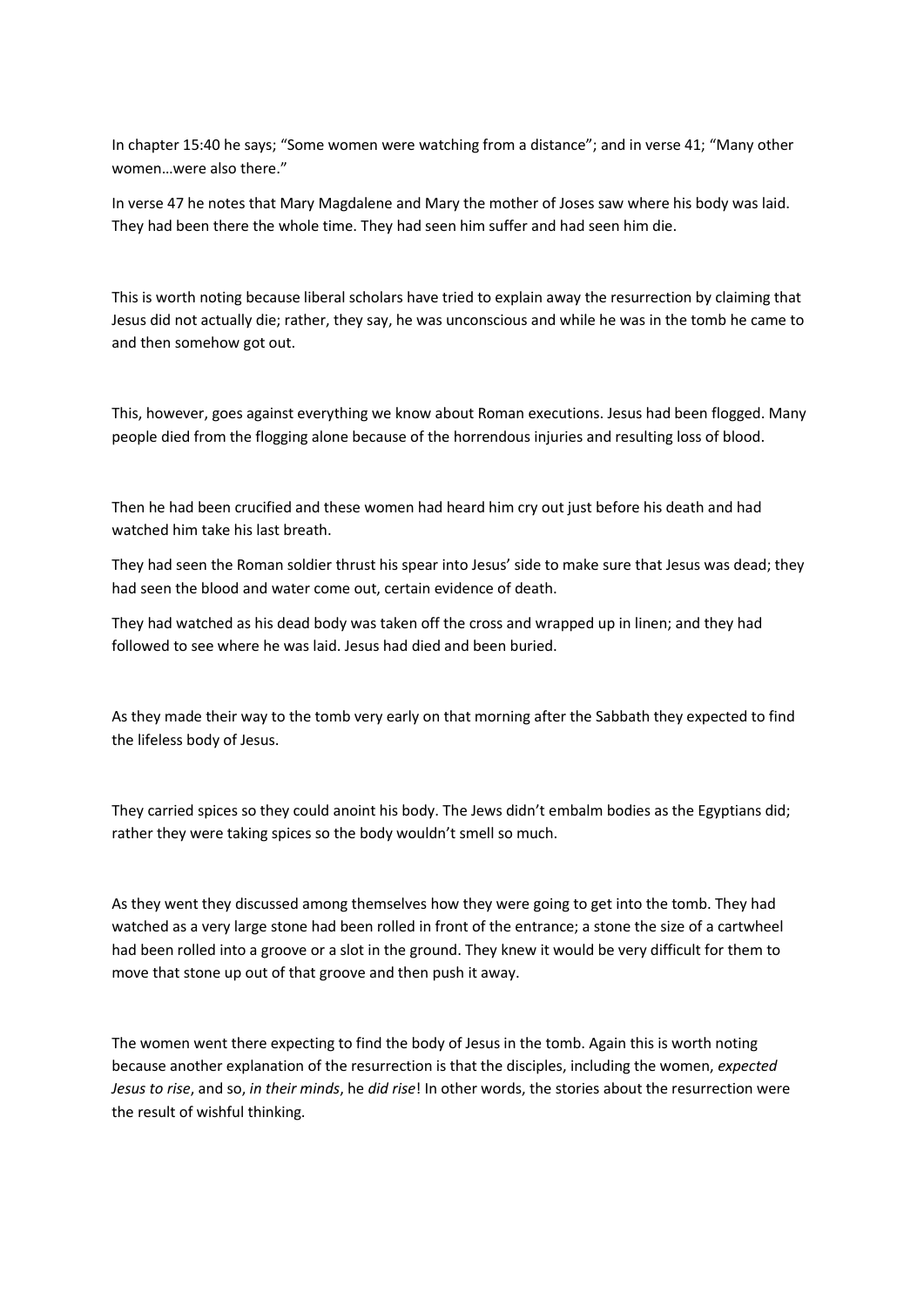In chapter 15:40 he says; "Some women were watching from a distance"; and in verse 41; "Many other women…were also there."

In verse 47 he notes that Mary Magdalene and Mary the mother of Joses saw where his body was laid. They had been there the whole time. They had seen him suffer and had seen him die.

This is worth noting because liberal scholars have tried to explain away the resurrection by claiming that Jesus did not actually die; rather, they say, he was unconscious and while he was in the tomb he came to and then somehow got out.

This, however, goes against everything we know about Roman executions. Jesus had been flogged. Many people died from the flogging alone because of the horrendous injuries and resulting loss of blood.

Then he had been crucified and these women had heard him cry out just before his death and had watched him take his last breath.

They had seen the Roman soldier thrust his spear into Jesus' side to make sure that Jesus was dead; they had seen the blood and water come out, certain evidence of death.

They had watched as his dead body was taken off the cross and wrapped up in linen; and they had followed to see where he was laid. Jesus had died and been buried.

As they made their way to the tomb very early on that morning after the Sabbath they expected to find the lifeless body of Jesus.

They carried spices so they could anoint his body. The Jews didn't embalm bodies as the Egyptians did; rather they were taking spices so the body wouldn't smell so much.

As they went they discussed among themselves how they were going to get into the tomb. They had watched as a very large stone had been rolled in front of the entrance; a stone the size of a cartwheel had been rolled into a groove or a slot in the ground. They knew it would be very difficult for them to move that stone up out of that groove and then push it away.

The women went there expecting to find the body of Jesus in the tomb. Again this is worth noting because another explanation of the resurrection is that the disciples, including the women, *expected Jesus to rise*, and so, *in their minds*, he *did rise*! In other words, the stories about the resurrection were the result of wishful thinking.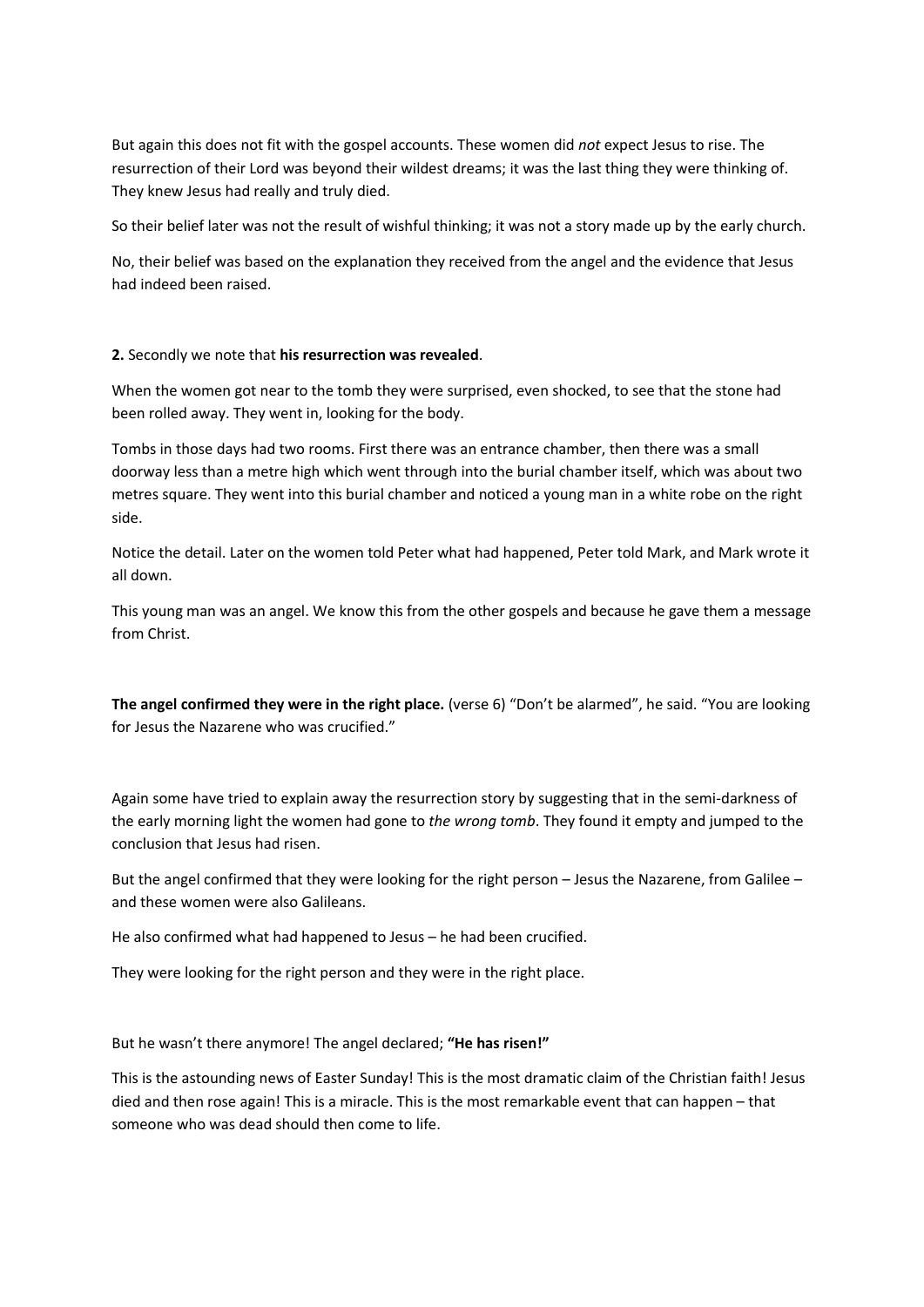But again this does not fit with the gospel accounts. These women did *not* expect Jesus to rise. The resurrection of their Lord was beyond their wildest dreams; it was the last thing they were thinking of. They knew Jesus had really and truly died.

So their belief later was not the result of wishful thinking; it was not a story made up by the early church.

No, their belief was based on the explanation they received from the angel and the evidence that Jesus had indeed been raised.

## **2.** Secondly we note that **his resurrection was revealed**.

When the women got near to the tomb they were surprised, even shocked, to see that the stone had been rolled away. They went in, looking for the body.

Tombs in those days had two rooms. First there was an entrance chamber, then there was a small doorway less than a metre high which went through into the burial chamber itself, which was about two metres square. They went into this burial chamber and noticed a young man in a white robe on the right side.

Notice the detail. Later on the women told Peter what had happened, Peter told Mark, and Mark wrote it all down.

This young man was an angel. We know this from the other gospels and because he gave them a message from Christ.

**The angel confirmed they were in the right place.** (verse 6) "Don't be alarmed", he said. "You are looking for Jesus the Nazarene who was crucified."

Again some have tried to explain away the resurrection story by suggesting that in the semi-darkness of the early morning light the women had gone to *the wrong tomb*. They found it empty and jumped to the conclusion that Jesus had risen.

But the angel confirmed that they were looking for the right person – Jesus the Nazarene, from Galilee – and these women were also Galileans.

He also confirmed what had happened to Jesus – he had been crucified.

They were looking for the right person and they were in the right place.

But he wasn't there anymore! The angel declared; **"He has risen!"**

This is the astounding news of Easter Sunday! This is the most dramatic claim of the Christian faith! Jesus died and then rose again! This is a miracle. This is the most remarkable event that can happen – that someone who was dead should then come to life.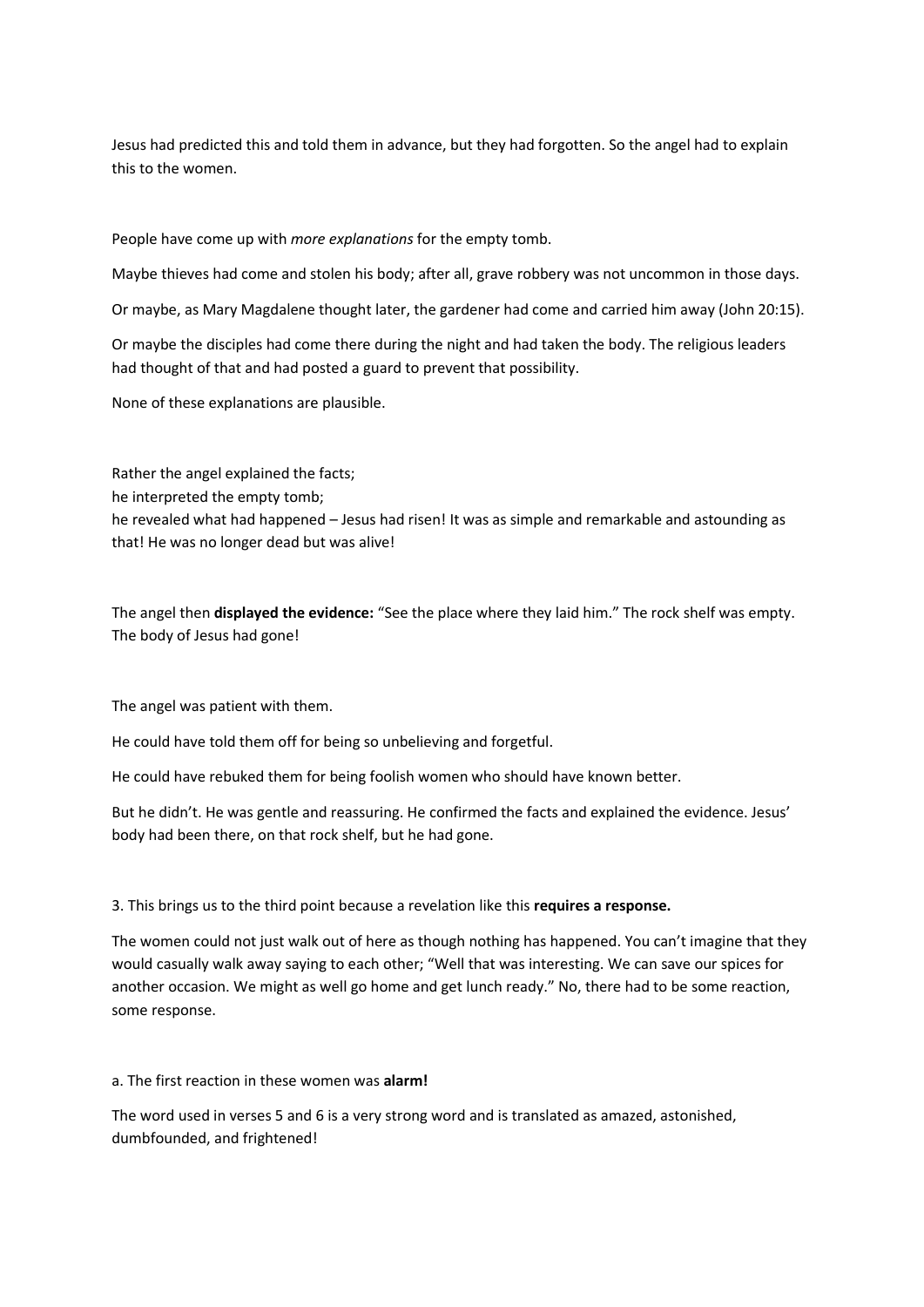Jesus had predicted this and told them in advance, but they had forgotten. So the angel had to explain this to the women.

People have come up with *more explanations* for the empty tomb.

Maybe thieves had come and stolen his body; after all, grave robbery was not uncommon in those days.

Or maybe, as Mary Magdalene thought later, the gardener had come and carried him away (John 20:15).

Or maybe the disciples had come there during the night and had taken the body. The religious leaders had thought of that and had posted a guard to prevent that possibility.

None of these explanations are plausible.

Rather the angel explained the facts; he interpreted the empty tomb; he revealed what had happened – Jesus had risen! It was as simple and remarkable and astounding as that! He was no longer dead but was alive!

The angel then **displayed the evidence:** "See the place where they laid him." The rock shelf was empty. The body of Jesus had gone!

The angel was patient with them.

He could have told them off for being so unbelieving and forgetful.

He could have rebuked them for being foolish women who should have known better.

But he didn't. He was gentle and reassuring. He confirmed the facts and explained the evidence. Jesus' body had been there, on that rock shelf, but he had gone.

## 3. This brings us to the third point because a revelation like this **requires a response.**

The women could not just walk out of here as though nothing has happened. You can't imagine that they would casually walk away saying to each other; "Well that was interesting. We can save our spices for another occasion. We might as well go home and get lunch ready." No, there had to be some reaction, some response.

a. The first reaction in these women was **alarm!**

The word used in verses 5 and 6 is a very strong word and is translated as amazed, astonished, dumbfounded, and frightened!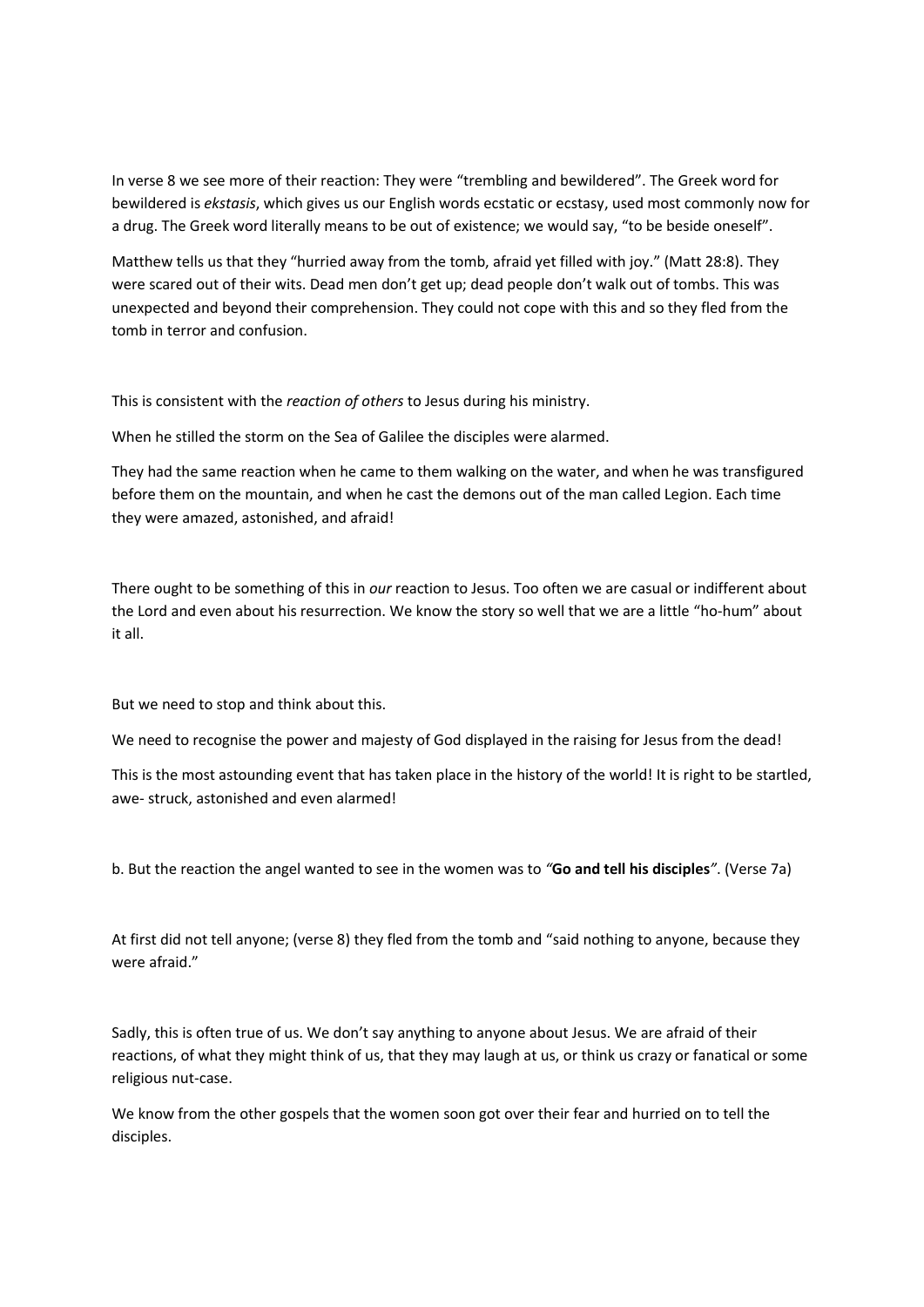In verse 8 we see more of their reaction: They were "trembling and bewildered". The Greek word for bewildered is *ekstasis*, which gives us our English words ecstatic or ecstasy, used most commonly now for a drug. The Greek word literally means to be out of existence; we would say, "to be beside oneself".

Matthew tells us that they "hurried away from the tomb, afraid yet filled with joy." (Matt 28:8). They were scared out of their wits. Dead men don't get up; dead people don't walk out of tombs. This was unexpected and beyond their comprehension. They could not cope with this and so they fled from the tomb in terror and confusion.

This is consistent with the *reaction of others* to Jesus during his ministry.

When he stilled the storm on the Sea of Galilee the disciples were alarmed.

They had the same reaction when he came to them walking on the water, and when he was transfigured before them on the mountain, and when he cast the demons out of the man called Legion. Each time they were amazed, astonished, and afraid!

There ought to be something of this in *our* reaction to Jesus. Too often we are casual or indifferent about the Lord and even about his resurrection. We know the story so well that we are a little "ho-hum" about it all.

But we need to stop and think about this.

We need to recognise the power and majesty of God displayed in the raising for Jesus from the dead!

This is the most astounding event that has taken place in the history of the world! It is right to be startled, awe- struck, astonished and even alarmed!

b. But the reaction the angel wanted to see in the women was to *"***Go and tell his disciples***"*. (Verse 7a)

At first did not tell anyone; (verse 8) they fled from the tomb and "said nothing to anyone, because they were afraid."

Sadly, this is often true of us. We don't say anything to anyone about Jesus. We are afraid of their reactions, of what they might think of us, that they may laugh at us, or think us crazy or fanatical or some religious nut-case.

We know from the other gospels that the women soon got over their fear and hurried on to tell the disciples.